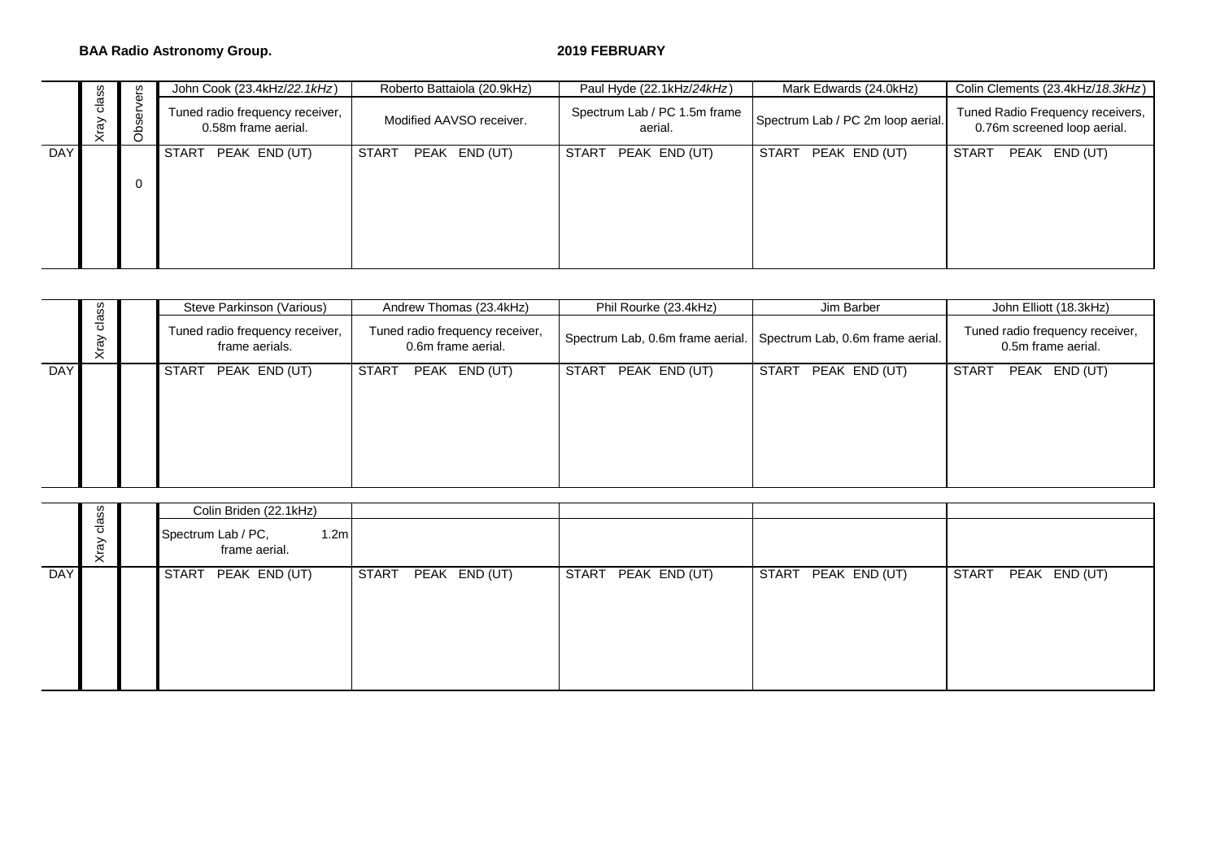### **BAA Radio Astronomy Group.** 2019 FEBRUARY

|     |               | ပ္ပ္က                        | John Cook (23.4kHz/22.1kHz)                            | Roberto Battaiola (20.9kHz)   | Paul Hyde (22.1kHz/24kHz)               | Mark Edwards (24.0kHz)            | Colin Clements (23.4kHz/18.3kHz)                                |  |  |  |  |
|-----|---------------|------------------------------|--------------------------------------------------------|-------------------------------|-----------------------------------------|-----------------------------------|-----------------------------------------------------------------|--|--|--|--|
|     | class<br>Xray | $\mathbf{a}$<br>৯<br>Ø<br>රි | Tuned radio frequency receiver,<br>0.58m frame aerial. | Modified AAVSO receiver.      | Spectrum Lab / PC 1.5m frame<br>aerial. | Spectrum Lab / PC 2m loop aerial. | Tuned Radio Frequency receivers,<br>0.76m screened loop aerial. |  |  |  |  |
| DAY |               |                              | START PEAK END (UT)                                    | PEAK END (UT)<br><b>START</b> | PEAK END (UT)<br>START                  | START PEAK END (UT)               | START<br>PEAK END (UT)                                          |  |  |  |  |
|     |               |                              |                                                        |                               |                                         |                                   |                                                                 |  |  |  |  |

|            |               | Steve Parkinson (Various)                               | Andrew Thomas (23.4kHz)                               | Phil Rourke (23.4kHz)                                             | Jim Barber                    | John Elliott (18.3kHz)                                |  |  |  |  |
|------------|---------------|---------------------------------------------------------|-------------------------------------------------------|-------------------------------------------------------------------|-------------------------------|-------------------------------------------------------|--|--|--|--|
|            | class<br>Xray | Tuned radio frequency receiver,<br>frame aerials.       | Tuned radio frequency receiver,<br>0.6m frame aerial. | Spectrum Lab, 0.6m frame aerial. Spectrum Lab, 0.6m frame aerial. |                               | Tuned radio frequency receiver,<br>0.5m frame aerial. |  |  |  |  |
| <b>DAY</b> |               | <b>START</b><br>PEAK END (UT)                           | $PEAK$ $END (UT)$<br><b>START</b>                     | PEAK END (UT)<br><b>START</b>                                     | <b>START</b><br>PEAK END (UT) | <b>START</b><br>PEAK END (UT)                         |  |  |  |  |
|            |               | Colin Briden (22.1kHz)                                  |                                                       |                                                                   |                               |                                                       |  |  |  |  |
|            | class<br>Xray | 1.2 <sub>m</sub><br>Spectrum Lab / PC,<br>frame aerial. |                                                       |                                                                   |                               |                                                       |  |  |  |  |

|            |               | Colin Briden (22.1kHz)                                  |                     |              |               |                     |       |                   |
|------------|---------------|---------------------------------------------------------|---------------------|--------------|---------------|---------------------|-------|-------------------|
|            | class<br>Xray | 1.2 <sub>m</sub><br>Spectrum Lab / PC,<br>frame aerial. |                     |              |               |                     |       |                   |
| <b>DAY</b> |               | START PEAK END (UT)                                     | START PEAK END (UT) | <b>START</b> | PEAK END (UT) | START PEAK END (UT) | START | $PEAK$ $END (UT)$ |
|            |               |                                                         |                     |              |               |                     |       |                   |
|            |               |                                                         |                     |              |               |                     |       |                   |
|            |               |                                                         |                     |              |               |                     |       |                   |
|            |               |                                                         |                     |              |               |                     |       |                   |
|            |               |                                                         |                     |              |               |                     |       |                   |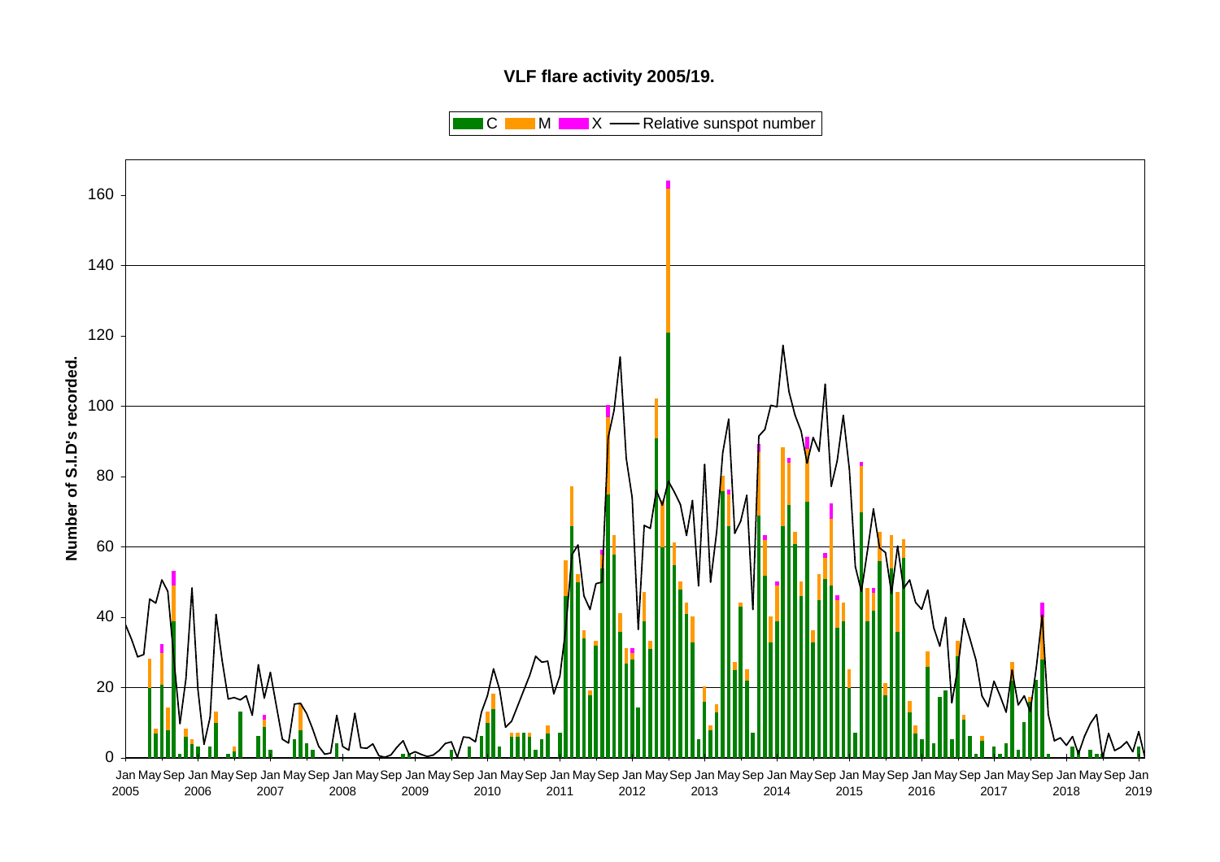# **VLF flare activity 2005/19.**

 $\blacksquare$  C  $\blacksquare$  M  $\blacksquare$   $\blacksquare$  X  $\blacksquare$  Relative sunspot number

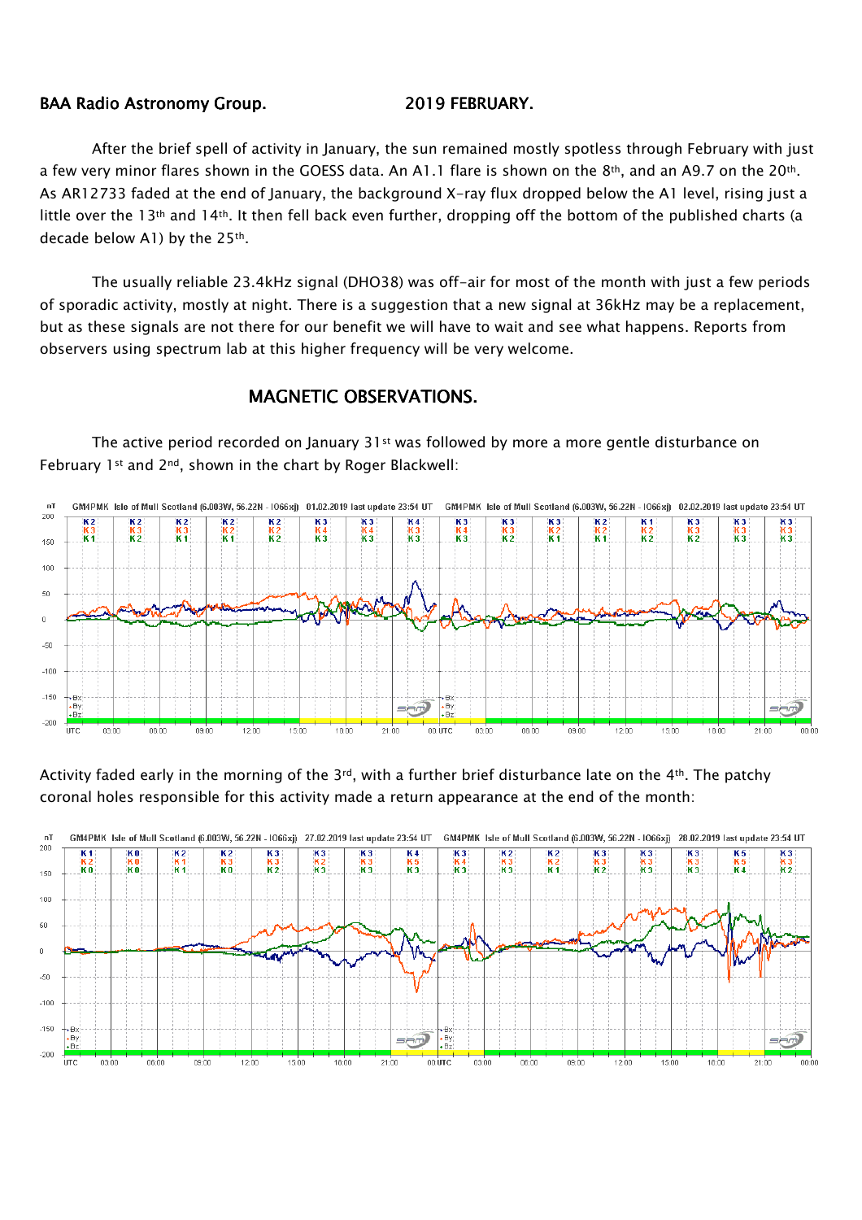## BAA Radio Astronomy Group. 2019 FEBRUARY.

After the brief spell of activity in January, the sun remained mostly spotless through February with just a few very minor flares shown in the GOESS data. An A1.1 flare is shown on the 8th, and an A9.7 on the 20th. As AR12733 faded at the end of January, the background X-ray flux dropped below the A1 level, rising just a little over the 13th and 14th. It then fell back even further, dropping off the bottom of the published charts (a decade below A1) by the 25<sup>th</sup>.

The usually reliable 23.4kHz signal (DHO38) was off-air for most of the month with just a few periods of sporadic activity, mostly at night. There is a suggestion that a new signal at 36kHz may be a replacement, but as these signals are not there for our benefit we will have to wait and see what happens. Reports from observers using spectrum lab at this higher frequency will be very welcome.

## MAGNETIC OBSERVATIONS.

The active period recorded on January 31<sup>st</sup> was followed by more a more gentle disturbance on February 1st and 2<sup>nd</sup>, shown in the chart by Roger Blackwell:



Activity faded early in the morning of the 3rd, with a further brief disturbance late on the 4th. The patchy coronal holes responsible for this activity made a return appearance at the end of the month:

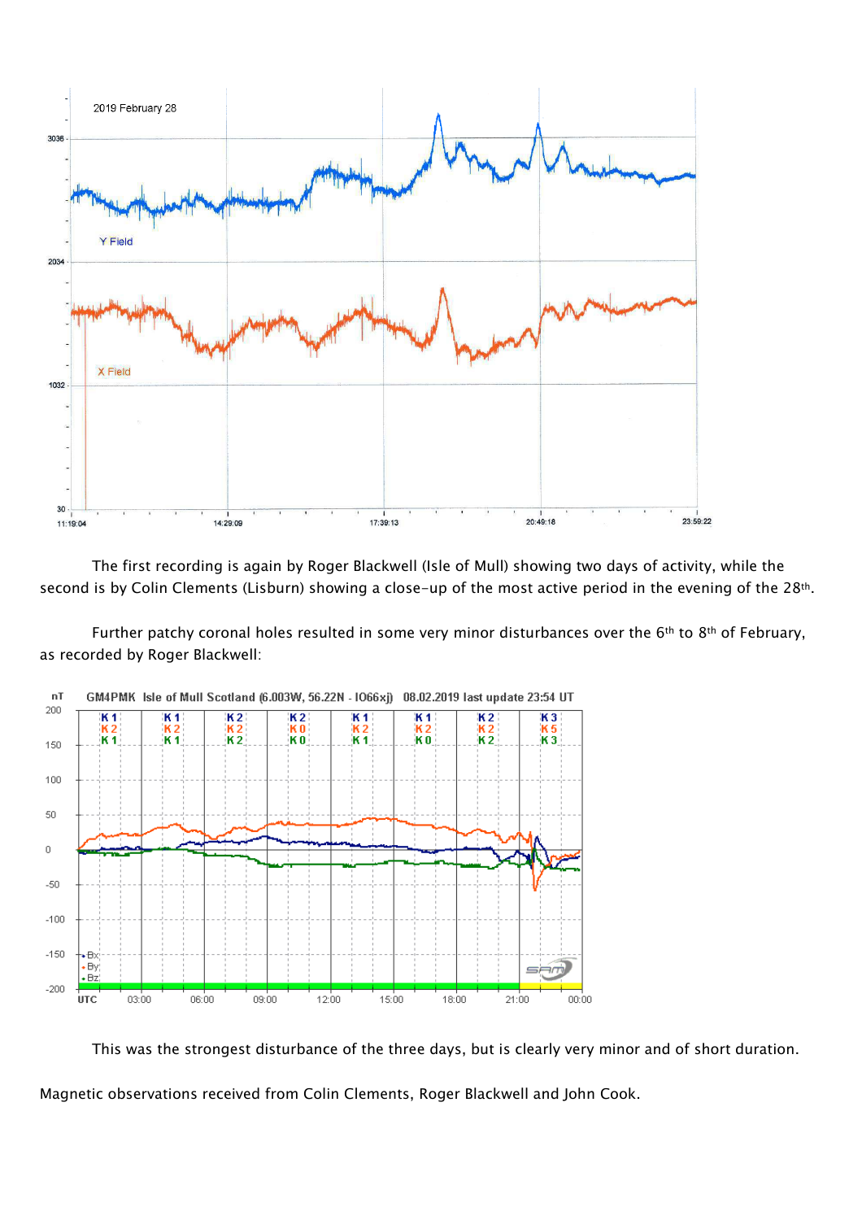

The first recording is again by Roger Blackwell (Isle of Mull) showing two days of activity, while the second is by Colin Clements (Lisburn) showing a close-up of the most active period in the evening of the 28<sup>th</sup>.

Further patchy coronal holes resulted in some very minor disturbances over the 6<sup>th</sup> to 8<sup>th</sup> of February, as recorded by Roger Blackwell:



This was the strongest disturbance of the three days, but is clearly very minor and of short duration.

Magnetic observations received from Colin Clements, Roger Blackwell and John Cook.